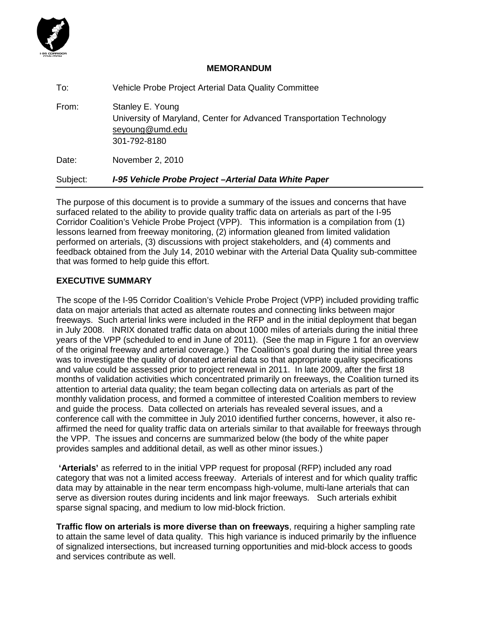

## **MEMORANDUM**

| Subject: | I-95 Vehicle Probe Project - Arterial Data White Paper                                                                       |
|----------|------------------------------------------------------------------------------------------------------------------------------|
| Date:    | November 2, 2010                                                                                                             |
| From:    | Stanley E. Young<br>University of Maryland, Center for Advanced Transportation Technology<br>seyoung@umd.edu<br>301-792-8180 |
| To:      | Vehicle Probe Project Arterial Data Quality Committee                                                                        |

The purpose of this document is to provide a summary of the issues and concerns that have surfaced related to the ability to provide quality traffic data on arterials as part of the I-95 Corridor Coalition's Vehicle Probe Project (VPP). This information is a compilation from (1) lessons learned from freeway monitoring, (2) information gleaned from limited validation performed on arterials, (3) discussions with project stakeholders, and (4) comments and feedback obtained from the July 14, 2010 webinar with the Arterial Data Quality sub-committee that was formed to help guide this effort.

# **EXECUTIVE SUMMARY**

The scope of the I-95 Corridor Coalition's Vehicle Probe Project (VPP) included providing traffic data on major arterials that acted as alternate routes and connecting links between major freeways. Such arterial links were included in the RFP and in the initial deployment that began in July 2008. INRIX donated traffic data on about 1000 miles of arterials during the initial three years of the VPP (scheduled to end in June of 2011). (See the map in Figure 1 for an overview of the original freeway and arterial coverage.) The Coalition's goal during the initial three years was to investigate the quality of donated arterial data so that appropriate quality specifications and value could be assessed prior to project renewal in 2011. In late 2009, after the first 18 months of validation activities which concentrated primarily on freeways, the Coalition turned its attention to arterial data quality; the team began collecting data on arterials as part of the monthly validation process, and formed a committee of interested Coalition members to review and guide the process. Data collected on arterials has revealed several issues, and a conference call with the committee in July 2010 identified further concerns, however, it also reaffirmed the need for quality traffic data on arterials similar to that available for freeways through the VPP. The issues and concerns are summarized below (the body of the white paper provides samples and additional detail, as well as other minor issues.)

**'Arterials'** as referred to in the initial VPP request for proposal (RFP) included any road category that was not a limited access freeway. Arterials of interest and for which quality traffic data may by attainable in the near term encompass high-volume, multi-lane arterials that can serve as diversion routes during incidents and link major freeways. Such arterials exhibit sparse signal spacing, and medium to low mid-block friction.

**Traffic flow on arterials is more diverse than on freeways**, requiring a higher sampling rate to attain the same level of data quality. This high variance is induced primarily by the influence of signalized intersections, but increased turning opportunities and mid-block access to goods and services contribute as well.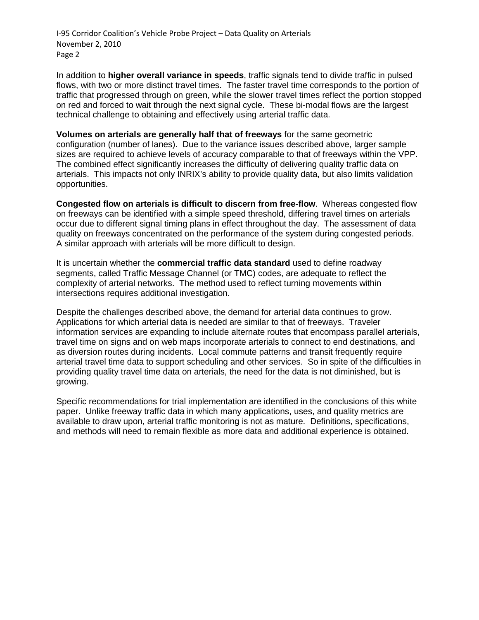In addition to **higher overall variance in speeds**, traffic signals tend to divide traffic in pulsed flows, with two or more distinct travel times. The faster travel time corresponds to the portion of traffic that progressed through on green, while the slower travel times reflect the portion stopped on red and forced to wait through the next signal cycle. These bi-modal flows are the largest technical challenge to obtaining and effectively using arterial traffic data.

**Volumes on arterials are generally half that of freeways** for the same geometric configuration (number of lanes). Due to the variance issues described above, larger sample sizes are required to achieve levels of accuracy comparable to that of freeways within the VPP. The combined effect significantly increases the difficulty of delivering quality traffic data on arterials. This impacts not only INRIX's ability to provide quality data, but also limits validation opportunities.

**Congested flow on arterials is difficult to discern from free-flow**. Whereas congested flow on freeways can be identified with a simple speed threshold, differing travel times on arterials occur due to different signal timing plans in effect throughout the day. The assessment of data quality on freeways concentrated on the performance of the system during congested periods. A similar approach with arterials will be more difficult to design.

It is uncertain whether the **commercial traffic data standard** used to define roadway segments, called Traffic Message Channel (or TMC) codes, are adequate to reflect the complexity of arterial networks. The method used to reflect turning movements within intersections requires additional investigation.

Despite the challenges described above, the demand for arterial data continues to grow. Applications for which arterial data is needed are similar to that of freeways. Traveler information services are expanding to include alternate routes that encompass parallel arterials, travel time on signs and on web maps incorporate arterials to connect to end destinations, and as diversion routes during incidents. Local commute patterns and transit frequently require arterial travel time data to support scheduling and other services. So in spite of the difficulties in providing quality travel time data on arterials, the need for the data is not diminished, but is growing.

Specific recommendations for trial implementation are identified in the conclusions of this white paper. Unlike freeway traffic data in which many applications, uses, and quality metrics are available to draw upon, arterial traffic monitoring is not as mature. Definitions, specifications, and methods will need to remain flexible as more data and additional experience is obtained.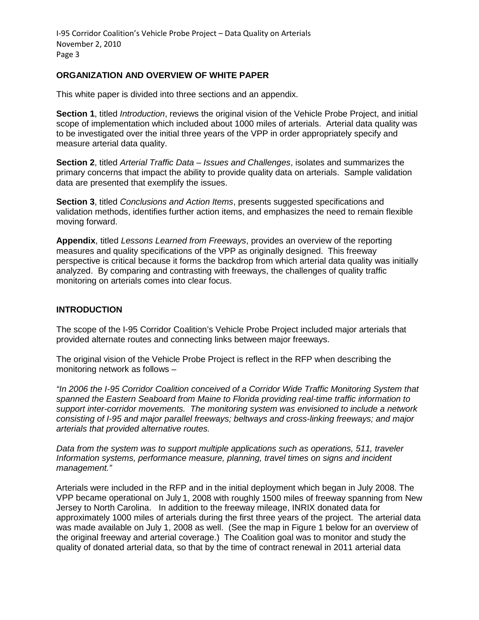## **ORGANIZATION AND OVERVIEW OF WHITE PAPER**

This white paper is divided into three sections and an appendix.

**Section 1**, titled *Introduction*, reviews the original vision of the Vehicle Probe Project, and initial scope of implementation which included about 1000 miles of arterials. Arterial data quality was to be investigated over the initial three years of the VPP in order appropriately specify and measure arterial data quality.

**Section 2**, titled *Arterial Traffic Data – Issues and Challenges*, isolates and summarizes the primary concerns that impact the ability to provide quality data on arterials. Sample validation data are presented that exemplify the issues.

**Section 3**, titled *Conclusions and Action Items*, presents suggested specifications and validation methods, identifies further action items, and emphasizes the need to remain flexible moving forward.

**Appendix**, titled *Lessons Learned from Freeways*, provides an overview of the reporting measures and quality specifications of the VPP as originally designed. This freeway perspective is critical because it forms the backdrop from which arterial data quality was initially analyzed. By comparing and contrasting with freeways, the challenges of quality traffic monitoring on arterials comes into clear focus.

## **INTRODUCTION**

The scope of the I-95 Corridor Coalition's Vehicle Probe Project included major arterials that provided alternate routes and connecting links between major freeways.

The original vision of the Vehicle Probe Project is reflect in the RFP when describing the monitoring network as follows –

*"In 2006 the I-95 Corridor Coalition conceived of a Corridor Wide Traffic Monitoring System that spanned the Eastern Seaboard from Maine to Florida providing real-time traffic information to support inter-corridor movements. The monitoring system was envisioned to include a network consisting of I-95 and major parallel freeways; beltways and cross-linking freeways; and major arterials that provided alternative routes.*

*Data from the system was to support multiple applications such as operations, 511, traveler Information systems, performance measure, planning, travel times on signs and incident management."* 

Arterials were included in the RFP and in the initial deployment which began in July 2008. The VPP became operational on July 1, 2008 with roughly 1500 miles of freeway spanning from New Jersey to North Carolina. In addition to the freeway mileage, INRIX donated data for approximately 1000 miles of arterials during the first three years of the project. The arterial data was made available on July 1, 2008 as well. (See the map in Figure 1 below for an overview of the original freeway and arterial coverage.) The Coalition goal was to monitor and study the quality of donated arterial data, so that by the time of contract renewal in 2011 arterial data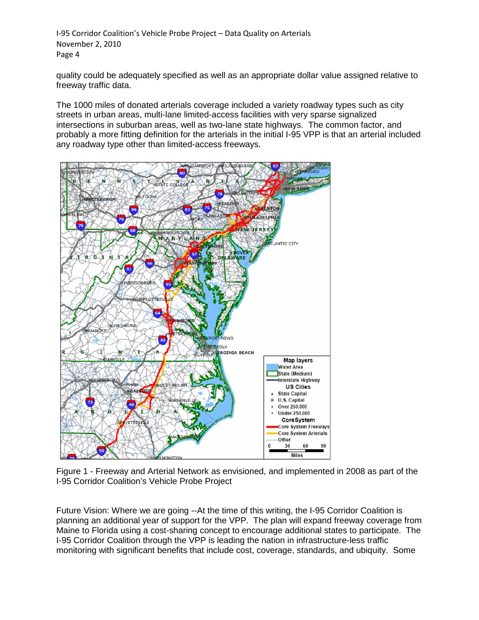quality could be adequately specified as well as an appropriate dollar value assigned relative to freeway traffic data.

The 1000 miles of donated arterials coverage included a variety roadway types such as city streets in urban areas, multi-lane limited-access facilities with very sparse signalized intersections in suburban areas, well as two-lane state highways. The common factor, and probably a more fitting definition for the arterials in the initial I-95 VPP is that an arterial included any roadway type other than limited-access freeways.



Figure 1 - Freeway and Arterial Network as envisioned, and implemented in 2008 as part of the I-95 Corridor Coalition's Vehicle Probe Project

Future Vision: Where we are going --At the time of this writing, the I-95 Corridor Coalition is planning an additional year of support for the VPP. The plan will expand freeway coverage from Maine to Florida using a cost-sharing concept to encourage additional states to participate. The I-95 Corridor Coalition through the VPP is leading the nation in infrastructure-less traffic monitoring with significant benefits that include cost, coverage, standards, and ubiquity. Some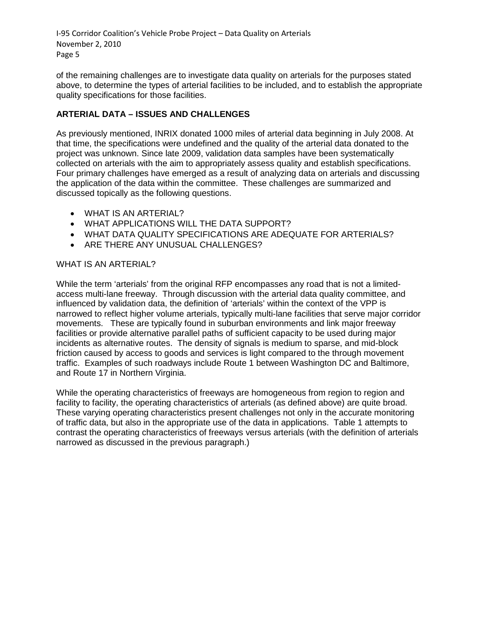of the remaining challenges are to investigate data quality on arterials for the purposes stated above, to determine the types of arterial facilities to be included, and to establish the appropriate quality specifications for those facilities.

# **ARTERIAL DATA – ISSUES AND CHALLENGES**

As previously mentioned, INRIX donated 1000 miles of arterial data beginning in July 2008. At that time, the specifications were undefined and the quality of the arterial data donated to the project was unknown. Since late 2009, validation data samples have been systematically collected on arterials with the aim to appropriately assess quality and establish specifications. Four primary challenges have emerged as a result of analyzing data on arterials and discussing the application of the data within the committee. These challenges are summarized and discussed topically as the following questions.

- WHAT IS AN ARTERIAL?
- WHAT APPLICATIONS WILL THE DATA SUPPORT?
- WHAT DATA QUALITY SPECIFICATIONS ARE ADEQUATE FOR ARTERIALS?
- ARE THERE ANY UNUSUAL CHALLENGES?

### WHAT IS AN ARTERIAL?

While the term 'arterials' from the original RFP encompasses any road that is not a limitedaccess multi-lane freeway. Through discussion with the arterial data quality committee, and influenced by validation data, the definition of 'arterials' within the context of the VPP is narrowed to reflect higher volume arterials, typically multi-lane facilities that serve major corridor movements. These are typically found in suburban environments and link major freeway facilities or provide alternative parallel paths of sufficient capacity to be used during major incidents as alternative routes. The density of signals is medium to sparse, and mid-block friction caused by access to goods and services is light compared to the through movement traffic. Examples of such roadways include Route 1 between Washington DC and Baltimore, and Route 17 in Northern Virginia.

While the operating characteristics of freeways are homogeneous from region to region and facility to facility, the operating characteristics of arterials (as defined above) are quite broad. These varying operating characteristics present challenges not only in the accurate monitoring of traffic data, but also in the appropriate use of the data in applications. Table 1 attempts to contrast the operating characteristics of freeways versus arterials (with the definition of arterials narrowed as discussed in the previous paragraph.)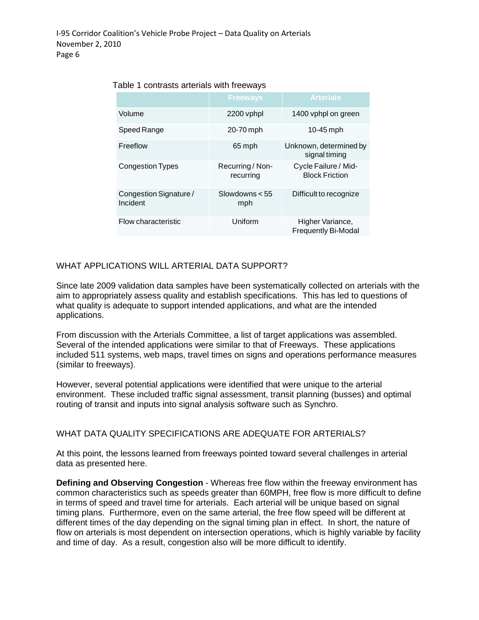|                                    | <b>Freeways</b>               | <b>Arterials</b>                               |
|------------------------------------|-------------------------------|------------------------------------------------|
| Volume                             | 2200 vphpl                    | 1400 vphpl on green                            |
| Speed Range                        | 20-70 mph                     | 10-45 mph                                      |
| Freeflow                           | 65 mph                        | Unknown, determined by<br>signal timing        |
| <b>Congestion Types</b>            | Recurring / Non-<br>recurring | Cycle Failure / Mid-<br><b>Block Friction</b>  |
| Congestion Signature /<br>Incident | Slowdowns $< 55$<br>mph       | Difficult to recognize                         |
| Flow characteristic                | Uniform                       | Higher Variance,<br><b>Frequently Bi-Modal</b> |

#### Table 1 contrasts arterials with freeways

## WHAT APPLICATIONS WILL ARTERIAL DATA SUPPORT?

Since late 2009 validation data samples have been systematically collected on arterials with the aim to appropriately assess quality and establish specifications. This has led to questions of what quality is adequate to support intended applications, and what are the intended applications.

From discussion with the Arterials Committee, a list of target applications was assembled. Several of the intended applications were similar to that of Freeways. These applications included 511 systems, web maps, travel times on signs and operations performance measures (similar to freeways).

However, several potential applications were identified that were unique to the arterial environment. These included traffic signal assessment, transit planning (busses) and optimal routing of transit and inputs into signal analysis software such as Synchro.

### WHAT DATA QUALITY SPECIFICATIONS ARE ADEQUATE FOR ARTERIALS?

At this point, the lessons learned from freeways pointed toward several challenges in arterial data as presented here.

**Defining and Observing Congestion** - Whereas free flow within the freeway environment has common characteristics such as speeds greater than 60MPH, free flow is more difficult to define in terms of speed and travel time for arterials. Each arterial will be unique based on signal timing plans. Furthermore, even on the same arterial, the free flow speed will be different at different times of the day depending on the signal timing plan in effect. In short, the nature of flow on arterials is most dependent on intersection operations, which is highly variable by facility and time of day. As a result, congestion also will be more difficult to identify.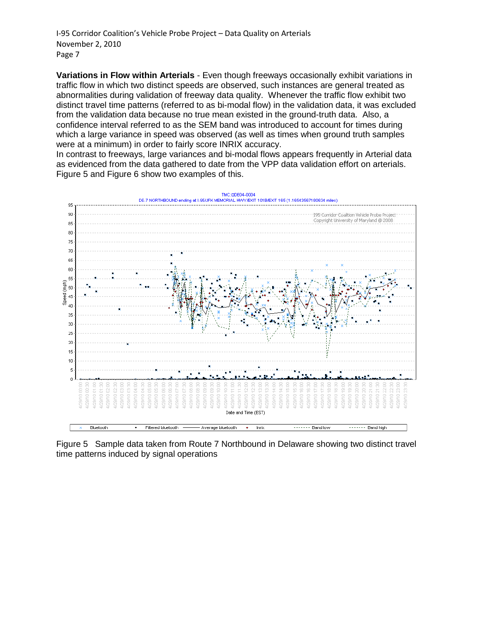**Variations in Flow within Arterials** - Even though freeways occasionally exhibit variations in traffic flow in which two distinct speeds are observed, such instances are general treated as abnormalities during validation of freeway data quality. Whenever the traffic flow exhibit two distinct travel time patterns (referred to as bi-modal flow) in the validation data, it was excluded from the validation data because no true mean existed in the ground-truth data. Also, a confidence interval referred to as the SEM band was introduced to account for times during which a large variance in speed was observed (as well as times when ground truth samples were at a minimum) in order to fairly score INRIX accuracy.

In contrast to freeways, large variances and bi-modal flows appears frequently in Arterial data as evidenced from the data gathered to date from the VPP data validation effort on arterials. Figure 5 and Figure 6 show two examples of this.



Figure 5 Sample data taken from Route 7 Northbound in Delaware showing two distinct travel time patterns induced by signal operations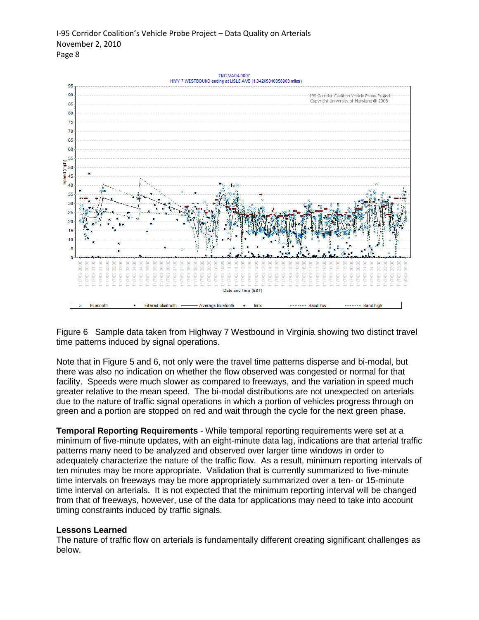

Figure 6 Sample data taken from Highway 7 Westbound in Virginia showing two distinct travel time patterns induced by signal operations.

Note that in Figure 5 and 6, not only were the travel time patterns disperse and bi-modal, but there was also no indication on whether the flow observed was congested or normal for that facility. Speeds were much slower as compared to freeways, and the variation in speed much greater relative to the mean speed. The bi-modal distributions are not unexpected on arterials due to the nature of traffic signal operations in which a portion of vehicles progress through on green and a portion are stopped on red and wait through the cycle for the next green phase.

**Temporal Reporting Requirements** - While temporal reporting requirements were set at a minimum of five-minute updates, with an eight-minute data lag, indications are that arterial traffic patterns many need to be analyzed and observed over larger time windows in order to adequately characterize the nature of the traffic flow. As a result, minimum reporting intervals of ten minutes may be more appropriate. Validation that is currently summarized to five-minute time intervals on freeways may be more appropriately summarized over a ten- or 15-minute time interval on arterials. It is not expected that the minimum reporting interval will be changed from that of freeways, however, use of the data for applications may need to take into account timing constraints induced by traffic signals.

#### **Lessons Learned**

The nature of traffic flow on arterials is fundamentally different creating significant challenges as below.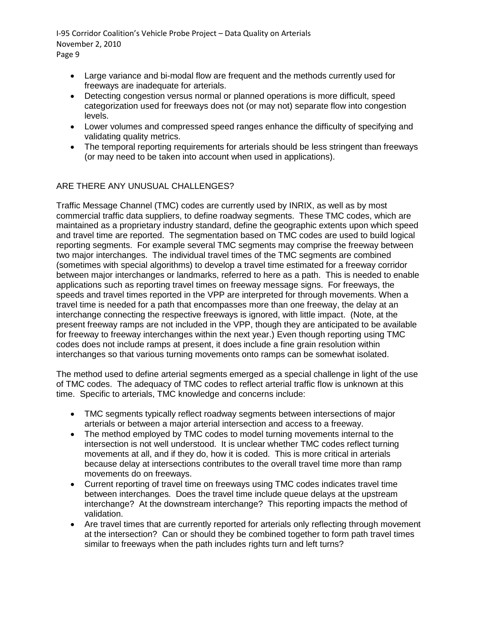- Large variance and bi-modal flow are frequent and the methods currently used for freeways are inadequate for arterials.
- Detecting congestion versus normal or planned operations is more difficult, speed categorization used for freeways does not (or may not) separate flow into congestion levels.
- Lower volumes and compressed speed ranges enhance the difficulty of specifying and validating quality metrics.
- The temporal reporting requirements for arterials should be less stringent than freeways (or may need to be taken into account when used in applications).

# ARE THERE ANY UNUSUAL CHALLENGES?

Traffic Message Channel (TMC) codes are currently used by INRIX, as well as by most commercial traffic data suppliers, to define roadway segments. These TMC codes, which are maintained as a proprietary industry standard, define the geographic extents upon which speed and travel time are reported. The segmentation based on TMC codes are used to build logical reporting segments. For example several TMC segments may comprise the freeway between two major interchanges. The individual travel times of the TMC segments are combined (sometimes with special algorithms) to develop a travel time estimated for a freeway corridor between major interchanges or landmarks, referred to here as a path. This is needed to enable applications such as reporting travel times on freeway message signs. For freeways, the speeds and travel times reported in the VPP are interpreted for through movements. When a travel time is needed for a path that encompasses more than one freeway, the delay at an interchange connecting the respective freeways is ignored, with little impact. (Note, at the present freeway ramps are not included in the VPP, though they are anticipated to be available for freeway to freeway interchanges within the next year.) Even though reporting using TMC codes does not include ramps at present, it does include a fine grain resolution within interchanges so that various turning movements onto ramps can be somewhat isolated.

The method used to define arterial segments emerged as a special challenge in light of the use of TMC codes. The adequacy of TMC codes to reflect arterial traffic flow is unknown at this time. Specific to arterials, TMC knowledge and concerns include:

- TMC segments typically reflect roadway segments between intersections of major arterials or between a major arterial intersection and access to a freeway.
- The method employed by TMC codes to model turning movements internal to the intersection is not well understood. It is unclear whether TMC codes reflect turning movements at all, and if they do, how it is coded. This is more critical in arterials because delay at intersections contributes to the overall travel time more than ramp movements do on freeways.
- Current reporting of travel time on freeways using TMC codes indicates travel time between interchanges. Does the travel time include queue delays at the upstream interchange? At the downstream interchange? This reporting impacts the method of validation.
- Are travel times that are currently reported for arterials only reflecting through movement at the intersection? Can or should they be combined together to form path travel times similar to freeways when the path includes rights turn and left turns?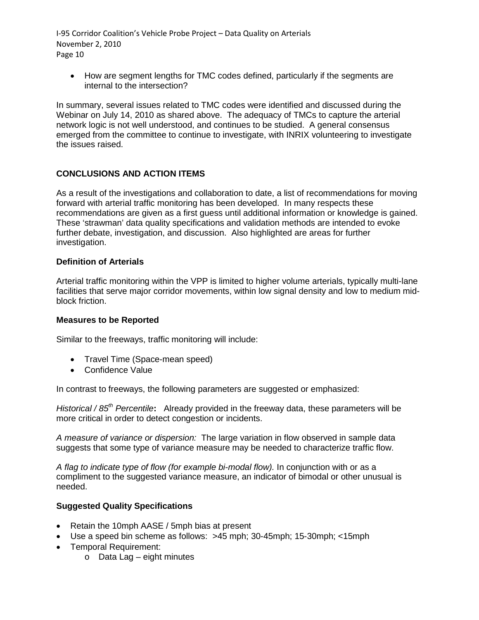• How are segment lengths for TMC codes defined, particularly if the segments are internal to the intersection?

In summary, several issues related to TMC codes were identified and discussed during the Webinar on July 14, 2010 as shared above. The adequacy of TMCs to capture the arterial network logic is not well understood, and continues to be studied. A general consensus emerged from the committee to continue to investigate, with INRIX volunteering to investigate the issues raised.

# **CONCLUSIONS AND ACTION ITEMS**

As a result of the investigations and collaboration to date, a list of recommendations for moving forward with arterial traffic monitoring has been developed. In many respects these recommendations are given as a first guess until additional information or knowledge is gained. These 'strawman' data quality specifications and validation methods are intended to evoke further debate, investigation, and discussion. Also highlighted are areas for further investigation.

## **Definition of Arterials**

Arterial traffic monitoring within the VPP is limited to higher volume arterials, typically multi-lane facilities that serve major corridor movements, within low signal density and low to medium midblock friction.

## **Measures to be Reported**

Similar to the freeways, traffic monitoring will include:

- Travel Time (Space-mean speed)
- Confidence Value

In contrast to freeways, the following parameters are suggested or emphasized:

*Historical / 85th Percentile***:** Already provided in the freeway data, these parameters will be more critical in order to detect congestion or incidents.

*A measure of variance or dispersion:* The large variation in flow observed in sample data suggests that some type of variance measure may be needed to characterize traffic flow.

*A flag to indicate type of flow (for example bi-modal flow).* In conjunction with or as a compliment to the suggested variance measure, an indicator of bimodal or other unusual is needed.

## **Suggested Quality Specifications**

- Retain the 10mph AASE / 5mph bias at present
- Use a speed bin scheme as follows: >45 mph; 30-45mph; 15-30mph; <15mph
- Temporal Requirement:
	- o Data Lag eight minutes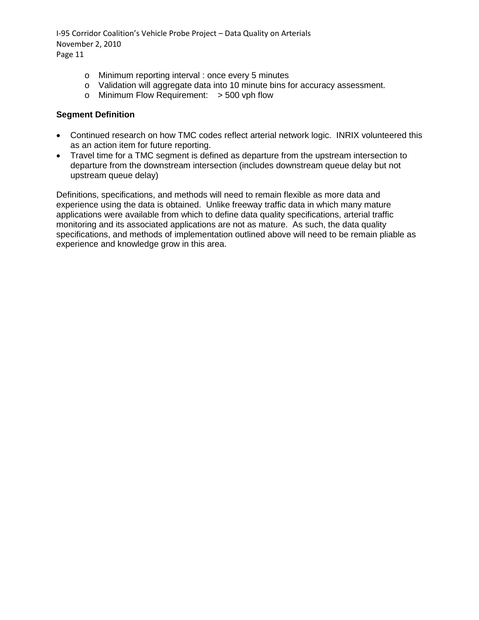- o Minimum reporting interval : once every 5 minutes
- o Validation will aggregate data into 10 minute bins for accuracy assessment.
- o Minimum Flow Requirement: > 500 vph flow

## **Segment Definition**

- Continued research on how TMC codes reflect arterial network logic. INRIX volunteered this as an action item for future reporting.
- Travel time for a TMC segment is defined as departure from the upstream intersection to departure from the downstream intersection (includes downstream queue delay but not upstream queue delay)

Definitions, specifications, and methods will need to remain flexible as more data and experience using the data is obtained. Unlike freeway traffic data in which many mature applications were available from which to define data quality specifications, arterial traffic monitoring and its associated applications are not as mature. As such, the data quality specifications, and methods of implementation outlined above will need to be remain pliable as experience and knowledge grow in this area.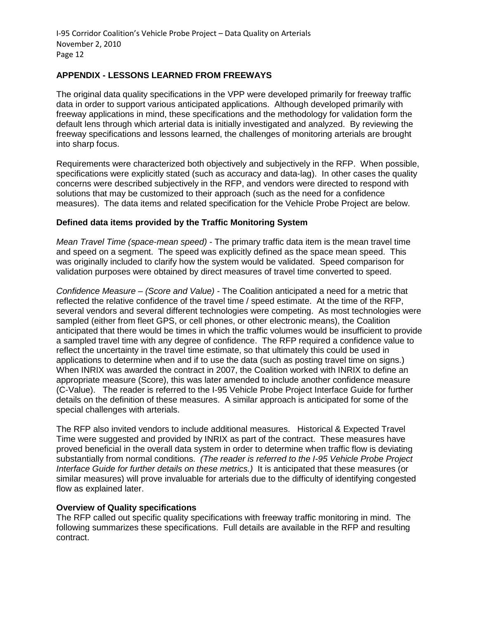## **APPENDIX - LESSONS LEARNED FROM FREEWAYS**

The original data quality specifications in the VPP were developed primarily for freeway traffic data in order to support various anticipated applications. Although developed primarily with freeway applications in mind, these specifications and the methodology for validation form the default lens through which arterial data is initially investigated and analyzed. By reviewing the freeway specifications and lessons learned, the challenges of monitoring arterials are brought into sharp focus.

Requirements were characterized both objectively and subjectively in the RFP. When possible, specifications were explicitly stated (such as accuracy and data-lag). In other cases the quality concerns were described subjectively in the RFP, and vendors were directed to respond with solutions that may be customized to their approach (such as the need for a confidence measures). The data items and related specification for the Vehicle Probe Project are below.

#### **Defined data items provided by the Traffic Monitoring System**

*Mean Travel Time (space-mean speed)* - The primary traffic data item is the mean travel time and speed on a segment. The speed was explicitly defined as the space mean speed. This was originally included to clarify how the system would be validated. Speed comparison for validation purposes were obtained by direct measures of travel time converted to speed.

*Confidence Measure – (Score and Value)* - The Coalition anticipated a need for a metric that reflected the relative confidence of the travel time / speed estimate. At the time of the RFP, several vendors and several different technologies were competing. As most technologies were sampled (either from fleet GPS, or cell phones, or other electronic means), the Coalition anticipated that there would be times in which the traffic volumes would be insufficient to provide a sampled travel time with any degree of confidence. The RFP required a confidence value to reflect the uncertainty in the travel time estimate, so that ultimately this could be used in applications to determine when and if to use the data (such as posting travel time on signs.) When INRIX was awarded the contract in 2007, the Coalition worked with INRIX to define an appropriate measure (Score), this was later amended to include another confidence measure (C-Value). The reader is referred to the I-95 Vehicle Probe Project Interface Guide for further details on the definition of these measures. A similar approach is anticipated for some of the special challenges with arterials.

The RFP also invited vendors to include additional measures. Historical & Expected Travel Time were suggested and provided by INRIX as part of the contract. These measures have proved beneficial in the overall data system in order to determine when traffic flow is deviating substantially from normal conditions. *(The reader is referred to the I-95 Vehicle Probe Project Interface Guide for further details on these metrics.)* It is anticipated that these measures (or similar measures) will prove invaluable for arterials due to the difficulty of identifying congested flow as explained later.

#### **Overview of Quality specifications**

The RFP called out specific quality specifications with freeway traffic monitoring in mind. The following summarizes these specifications. Full details are available in the RFP and resulting contract.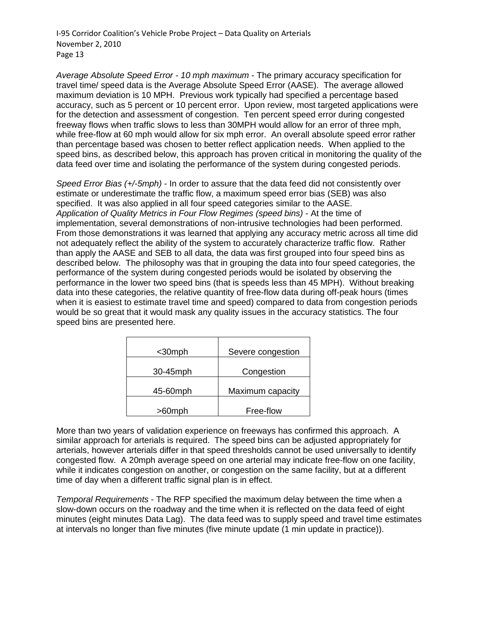*Average Absolute Speed Error - 10 mph maximum* - The primary accuracy specification for travel time/ speed data is the Average Absolute Speed Error (AASE). The average allowed maximum deviation is 10 MPH. Previous work typically had specified a percentage based accuracy, such as 5 percent or 10 percent error. Upon review, most targeted applications were for the detection and assessment of congestion. Ten percent speed error during congested freeway flows when traffic slows to less than 30MPH would allow for an error of three mph, while free-flow at 60 mph would allow for six mph error. An overall absolute speed error rather than percentage based was chosen to better reflect application needs. When applied to the speed bins, as described below, this approach has proven critical in monitoring the quality of the data feed over time and isolating the performance of the system during congested periods.

*Speed Error Bias (+/-5mph)* - In order to assure that the data feed did not consistently over estimate or underestimate the traffic flow, a maximum speed error bias (SEB) was also specified. It was also applied in all four speed categories similar to the AASE. *Application of Quality Metrics in Four Flow Regimes (speed bins)* - At the time of implementation, several demonstrations of non-intrusive technologies had been performed. From those demonstrations it was learned that applying any accuracy metric across all time did not adequately reflect the ability of the system to accurately characterize traffic flow. Rather than apply the AASE and SEB to all data, the data was first grouped into four speed bins as described below. The philosophy was that in grouping the data into four speed categories, the performance of the system during congested periods would be isolated by observing the performance in the lower two speed bins (that is speeds less than 45 MPH). Without breaking data into these categories, the relative quantity of free-flow data during off-peak hours (times when it is easiest to estimate travel time and speed) compared to data from congestion periods would be so great that it would mask any quality issues in the accuracy statistics. The four speed bins are presented here.

| $30$ mph | Severe congestion |
|----------|-------------------|
| 30-45mph | Congestion        |
| 45-60mph | Maximum capacity  |
| >60mph   | Free-flow         |

More than two years of validation experience on freeways has confirmed this approach. A similar approach for arterials is required. The speed bins can be adjusted appropriately for arterials, however arterials differ in that speed thresholds cannot be used universally to identify congested flow. A 20mph average speed on one arterial may indicate free-flow on one facility, while it indicates congestion on another, or congestion on the same facility, but at a different time of day when a different traffic signal plan is in effect.

*Temporal Requirements* - The RFP specified the maximum delay between the time when a slow-down occurs on the roadway and the time when it is reflected on the data feed of eight minutes (eight minutes Data Lag). The data feed was to supply speed and travel time estimates at intervals no longer than five minutes (five minute update (1 min update in practice)).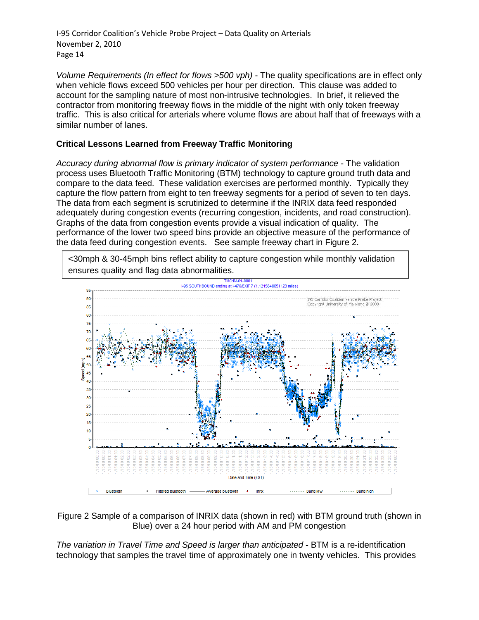*Volume Requirements (In effect for flows >500 vph)* - The quality specifications are in effect only when vehicle flows exceed 500 vehicles per hour per direction. This clause was added to account for the sampling nature of most non-intrusive technologies. In brief, it relieved the contractor from monitoring freeway flows in the middle of the night with only token freeway traffic. This is also critical for arterials where volume flows are about half that of freeways with a similar number of lanes.

# **Critical Lessons Learned from Freeway Traffic Monitoring**

*Accuracy during abnormal flow is primary indicator of system performance* - The validation process uses Bluetooth Traffic Monitoring (BTM) technology to capture ground truth data and compare to the data feed. These validation exercises are performed monthly. Typically they capture the flow pattern from eight to ten freeway segments for a period of seven to ten days. The data from each segment is scrutinized to determine if the INRIX data feed responded adequately during congestion events (recurring congestion, incidents, and road construction). Graphs of the data from congestion events provide a visual indication of quality. The performance of the lower two speed bins provide an objective measure of the performance of the data feed during congestion events. See sample freeway chart in Figure 2.

<30mph & 30-45mph bins reflect ability to capture congestion while monthly validation ensures quality and flag data abnormalities.



Figure 2 Sample of a comparison of INRIX data (shown in red) with BTM ground truth (shown in Blue) over a 24 hour period with AM and PM congestion

*The variation in Travel Time and Speed is larger than anticipated* **-** BTM is a re-identification technology that samples the travel time of approximately one in twenty vehicles. This provides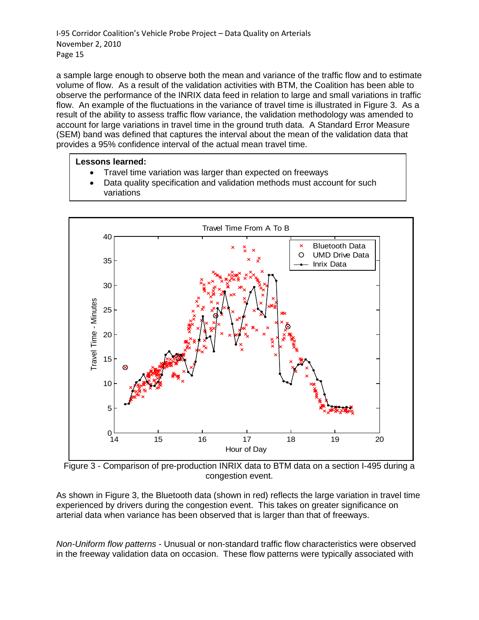a sample large enough to observe both the mean and variance of the traffic flow and to estimate volume of flow. As a result of the validation activities with BTM, the Coalition has been able to observe the performance of the INRIX data feed in relation to large and small variations in traffic flow. An example of the fluctuations in the variance of travel time is illustrated in Figure 3. As a result of the ability to assess traffic flow variance, the validation methodology was amended to account for large variations in travel time in the ground truth data. A Standard Error Measure (SEM) band was defined that captures the interval about the mean of the validation data that provides a 95% confidence interval of the actual mean travel time.

# **Lessons learned:**

- Travel time variation was larger than expected on freeways
- Data quality specification and validation methods must account for such variations



Figure 3 - Comparison of pre-production INRIX data to BTM data on a section I-495 during a congestion event.

As shown in Figure 3, the Bluetooth data (shown in red) reflects the large variation in travel time experienced by drivers during the congestion event. This takes on greater significance on arterial data when variance has been observed that is larger than that of freeways.

*Non-Uniform flow patterns* - Unusual or non-standard traffic flow characteristics were observed in the freeway validation data on occasion. These flow patterns were typically associated with